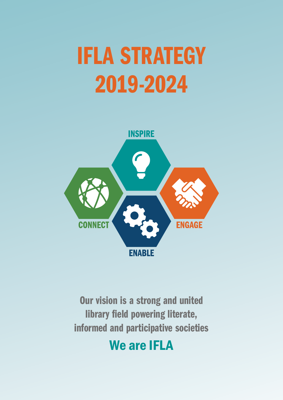# IFLA STRATEGY 2019-2024



Our vision is a strong and united library field powering literate, informed and participative societies

# We are IFLA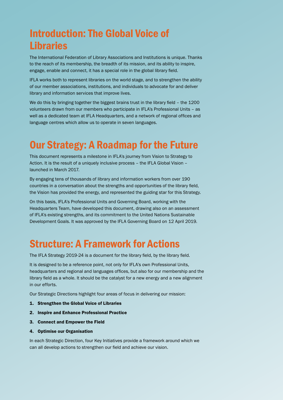## Introduction: The Global Voice of Libraries

The International Federation of Library Associations and Institutions is unique. Thanks to the reach of its membership, the breadth of its mission, and its ability to inspire, engage, enable and connect, it has a special role in the global library field.

IFLA works both to represent libraries on the world stage, and to strengthen the ability of our member associations, institutions, and individuals to advocate for and deliver library and information services that improve lives.

We do this by bringing together the biggest brains trust in the library field - the 1200 volunteers drawn from our members who participate in IFLA's Professional Units – as well as a dedicated team at IFLA Headquarters, and a network of regional offices and language centres which allow us to operate in seven languages.

### Our Strategy: A Roadmap for the Future

This document represents a milestone in IFLA's journey from Vision to Strategy to Action. It is the result of a uniquely inclusive process – the IFLA Global Vision – launched in March 2017.

By engaging tens of thousands of library and information workers from over 190 countries in a conversation about the strengths and opportunities of the library field, the Vision has provided the energy, and represented the guiding star for this Strategy.

On this basis, IFLA's Professional Units and Governing Board, working with the Headquarters Team, have developed this document, drawing also on an assessment of IFLA's existing strengths, and its commitment to the United Nations Sustainable Development Goals. It was approved by the IFLA Governing Board on 12 April 2019.

### Structure: A Framework for Actions

The IFLA Strategy 2019-24 is a document for the library field, by the library field.

It is designed to be a reference point, not only for IFLA's own Professional Units, headquarters and regional and languages offices, but also for our membership and the library field as a whole. It should be the catalyst for a new energy and a new alignment in our efforts.

Our Strategic Directions highlight four areas of focus in delivering our mission:

- 1. Strengthen the Global Voice of Libraries
- 2. Inspire and Enhance Professional Practice
- 3. Connect and Empower the Field
- 4. Optimise our Organisation

In each Strategic Direction, four Key Initiatives provide a framework around which we can all develop actions to strengthen our field and achieve our vision.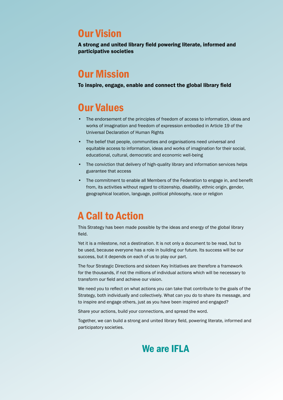### Our Vision

A strong and united library field powering literate, informed and participative societies

### Our Mission

To inspire, engage, enable and connect the global library field

### Our Values

- The endorsement of the principles of freedom of access to information, ideas and works of imagination and freedom of expression embodied in Article 19 of the Universal Declaration of Human Rights
- The belief that people, communities and organisations need universal and equitable access to information, ideas and works of imagination for their social, educational, cultural, democratic and economic well-being
- The conviction that delivery of high-quality library and information services helps guarantee that access
- The commitment to enable all Members of the Federation to engage in, and benefit from, its activities without regard to citizenship, disability, ethnic origin, gender, geographical location, language, political philosophy, race or religion

### A Call to Action

This Strategy has been made possible by the ideas and energy of the global library field.

Yet it is a milestone, not a destination. It is not only a document to be read, but to be used, because everyone has a role in building our future. Its success will be our success, but it depends on each of us to play our part.

The four Strategic Directions and sixteen Key Initiatives are therefore a framework for the thousands, if not the millions of individual actions which will be necessary to transform our field and achieve our vision.

We need you to reflect on what actions you can take that contribute to the goals of the Strategy, both individually and collectively. What can you do to share its message, and to inspire and engage others, just as you have been inspired and engaged?

Share your actions, build your connections, and spread the word.

Together, we can build a strong and united library field, powering literate, informed and participatory societies.

### We are IFLA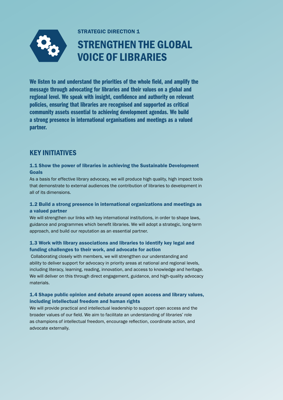

STRATEGIC DIRECTION 1

# STRENGTHEN THE GLOBAL VOICE OF LIBRARIES

We listen to and understand the priorities of the whole field, and amplify the message through advocating for libraries and their values on a global and regional level. We speak with insight, confidence and authority on relevant policies, ensuring that libraries are recognised and supported as critical community assets essential to achieving development agendas. We build a strong presence in international organisations and meetings as a valued partner.

### KEY INITIATIVES

#### 1.1 Show the power of libraries in achieving the Sustainable Development Goals

As a basis for effective library advocacy, we will produce high quality, high impact tools that demonstrate to external audiences the contribution of libraries to development in all of its dimensions.

#### 1.2 Build a strong presence in international organizations and meetings as a valued partner

We will strengthen our links with key international institutions, in order to shape laws, guidance and programmes which benefit libraries. We will adopt a strategic, long-term approach, and build our reputation as an essential partner.

#### 1.3 Work with library associations and libraries to identify key legal and funding challenges to their work, and advocate for action

 Collaborating closely with members, we will strengthen our understanding and ability to deliver support for advocacy in priority areas at national and regional levels, including literacy, learning, reading, innovation, and access to knowledge and heritage. We will deliver on this through direct engagement, guidance, and high-quality advocacy materials.

#### 1.4 Shape public opinion and debate around open access and library values, including intellectual freedom and human rights

We will provide practical and intellectual leadership to support open access and the broader values of our field. We aim to facilitate an understanding of libraries' role as champions of intellectual freedom, encourage reflection, coordinate action, and advocate externally.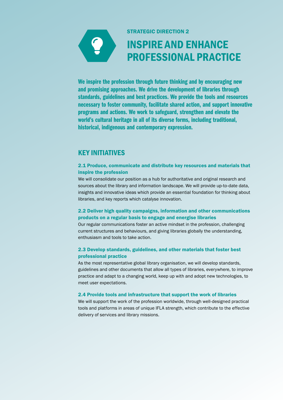

STRATEGIC DIRECTION 2

## INSPIRE AND ENHANCE PROFESSIONAL PRACTICE

We inspire the profession through future thinking and by encouraging new and promising approaches. We drive the development of libraries through standards, guidelines and best practices. We provide the tools and resources necessary to foster community, facilitate shared action, and support innovative programs and actions. We work to safeguard, strengthen and elevate the world's cultural heritage in all of its diverse forms, including traditional, historical, indigenous and contemporary expression.

### KEY INITIATIVES

#### 2.1 Produce, communicate and distribute key resources and materials that inspire the profession

We will consolidate our position as a hub for authoritative and original research and sources about the library and information landscape. We will provide up-to-date data, insights and innovative ideas which provide an essential foundation for thinking about libraries, and key reports which catalyse innovation.

#### 2.2 Deliver high quality campaigns, information and other communications products on a regular basis to engage and energise libraries

Our regular communications foster an active mindset in the profession, challenging current structures and behaviours, and giving libraries globally the understanding, enthusiasm and tools to take action.

#### 2.3 Develop standards, guidelines, and other materials that foster best professional practice

As the most representative global library organisation, we will develop standards, guidelines and other documents that allow all types of libraries, everywhere, to improve practice and adapt to a changing world, keep up with and adopt new technologies, to meet user expectations.

#### 2.4 Provide tools and infrastructure that support the work of libraries

We will support the work of the profession worldwide, through well-designed practical tools and platforms in areas of unique IFLA strength, which contribute to the effective delivery of services and library missions.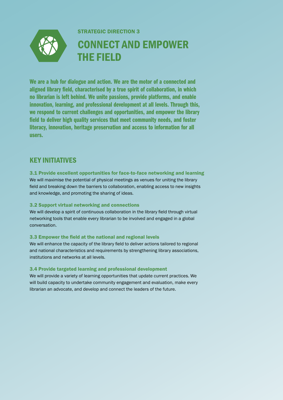

We are a hub for dialogue and action. We are the motor of a connected and aligned library field, characterised by a true spirit of collaboration, in which no librarian is left behind. We unite passions, provide platforms, and enable innovation, learning, and professional development at all levels. Through this, we respond to current challenges and opportunities, and empower the library field to deliver high quality services that meet community needs, and foster literacy, innovation, heritage preservation and access to information for all users.

### KEY INITIATIVES

#### 3.1 Provide excellent opportunities for face-to-face networking and learning

We will maximise the potential of physical meetings as venues for uniting the library field and breaking down the barriers to collaboration, enabling access to new insights and knowledge, and promoting the sharing of ideas.

#### 3.2 Support virtual networking and connections

We will develop a spirit of continuous collaboration in the library field through virtual networking tools that enable every librarian to be involved and engaged in a global conversation.

#### 3.3 Empower the field at the national and regional levels

We will enhance the capacity of the library field to deliver actions tailored to regional and national characteristics and requirements by strengthening library associations, institutions and networks at all levels.

#### 3.4 Provide targeted learning and professional development

We will provide a variety of learning opportunities that update current practices. We will build capacity to undertake community engagement and evaluation, make every librarian an advocate, and develop and connect the leaders of the future.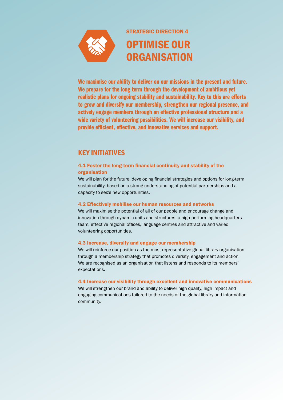

STRATEGIC DIRECTION 4

### OPTIMISE OUR **ORGANISATION**

We maximise our ability to deliver on our missions in the present and future. We prepare for the long term through the development of ambitious yet realistic plans for ongoing stability and sustainability. Key to this are efforts to grow and diversify our membership, strengthen our regional presence, and actively engage members through an effective professional structure and a wide variety of volunteering possibilities. We will increase our visibility, and provide efficient, effective, and innovative services and support.

### KEY INITIATIVES

#### 4.1 Foster the long-term financial continuity and stability of the organisation

We will plan for the future, developing financial strategies and options for long-term sustainability, based on a strong understanding of potential partnerships and a capacity to seize new opportunities.

#### 4.2 Effectively mobilise our human resources and networks

We will maximise the potential of all of our people and encourage change and innovation through dynamic units and structures, a high-performing headquarters team, effective regional offices, language centres and attractive and varied volunteering opportunities.

#### 4.3 Increase, diversify and engage our membership

We will reinforce our position as the most representative global library organisation through a membership strategy that promotes diversity, engagement and action. We are recognised as an organisation that listens and responds to its members' expectations.

#### 4.4 Increase our visibility through excellent and innovative communications

We will strengthen our brand and ability to deliver high quality, high impact and engaging communications tailored to the needs of the global library and information community.